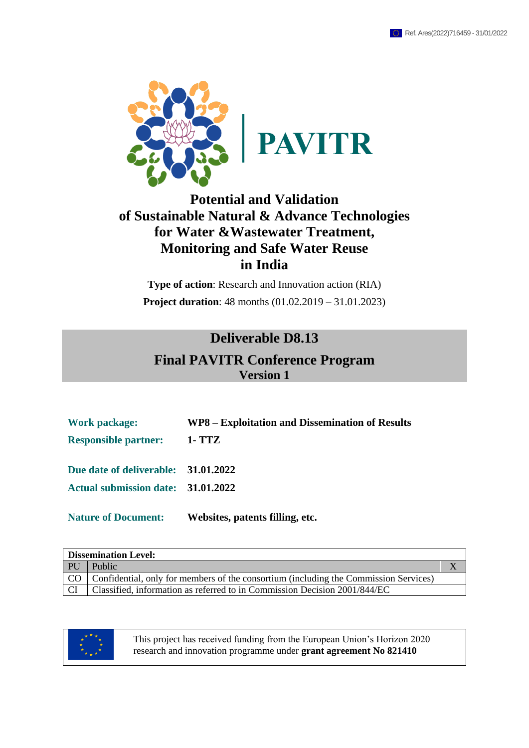

## **Potential and Validation of Sustainable Natural & Advance Technologies for Water &Wastewater Treatment, Monitoring and Safe Water Reuse in India**

**Type of action**: Research and Innovation action (RIA) **Project duration**: 48 months (01.02.2019 – 31.01.2023)

### **Deliverable D8.13**

## **Final PAVITR Conference Program Version 1**

| <b>Work package:</b>                | WP8 – Exploitation and Dissemination of Results |
|-------------------------------------|-------------------------------------------------|
| <b>Responsible partner:</b>         | 1- TTZ                                          |
| Due date of deliverable: 31.01.2022 |                                                 |
| Actual submission date: 31.01.2022  |                                                 |
| <b>Nature of Document:</b>          | Websites, patents filling, etc.                 |

| <b>Dissemination Level:</b> |                                                                                           |  |  |
|-----------------------------|-------------------------------------------------------------------------------------------|--|--|
| <b>PU</b>                   | Public                                                                                    |  |  |
|                             | CO   Confidential, only for members of the consortium (including the Commission Services) |  |  |
| CI.                         | Classified, information as referred to in Commission Decision 2001/844/EC                 |  |  |



This project has received funding from the European Union's Horizon 2020 research and innovation programme under **grant agreement No 821410**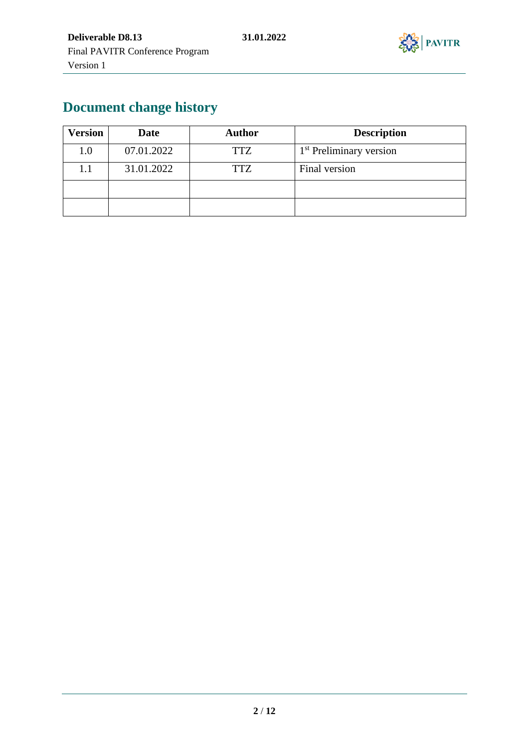

# **Document change history**

| <b>Version</b> | <b>Date</b> | Author     | <b>Description</b>                  |  |
|----------------|-------------|------------|-------------------------------------|--|
| 1.0            | 07.01.2022  | TTZ        | 1 <sup>st</sup> Preliminary version |  |
| $1.1\,$        | 31.01.2022  | <b>TTZ</b> | Final version                       |  |
|                |             |            |                                     |  |
|                |             |            |                                     |  |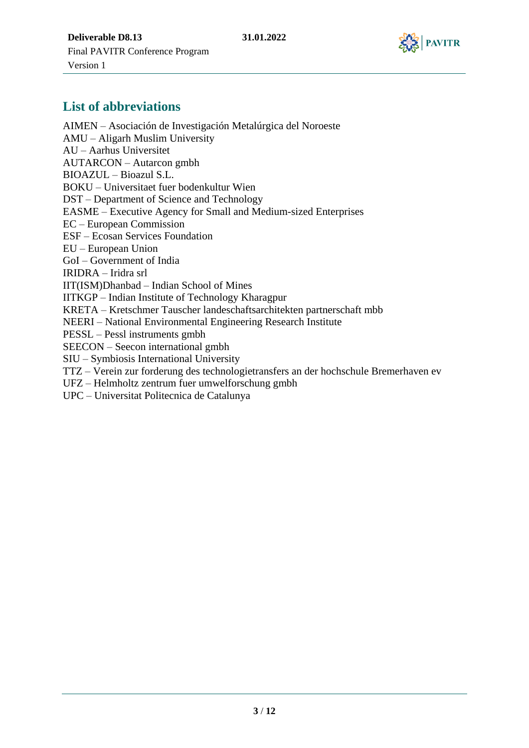

### **List of abbreviations**

AIMEN – Asociación de Investigación Metalúrgica del Noroeste AMU – Aligarh Muslim University AU – Aarhus Universitet AUTARCON – Autarcon gmbh BIOAZUL – Bioazul S.L. BOKU – Universitaet fuer bodenkultur Wien DST – Department of Science and Technology EASME – Executive Agency for Small and Medium-sized Enterprises EC – European Commission ESF – Ecosan Services Foundation EU – European Union GoI – Government of India IRIDRA – Iridra srl IIT(ISM)Dhanbad – Indian School of Mines IITKGP – Indian Institute of Technology Kharagpur KRETA – Kretschmer Tauscher landeschaftsarchitekten partnerschaft mbb NEERI – National Environmental Engineering Research Institute PESSL – Pessl instruments gmbh SEECON – Seecon international gmbh SIU – Symbiosis International University TTZ – Verein zur forderung des technologietransfers an der hochschule Bremerhaven ev UFZ – Helmholtz zentrum fuer umwelforschung gmbh

UPC – Universitat Politecnica de Catalunya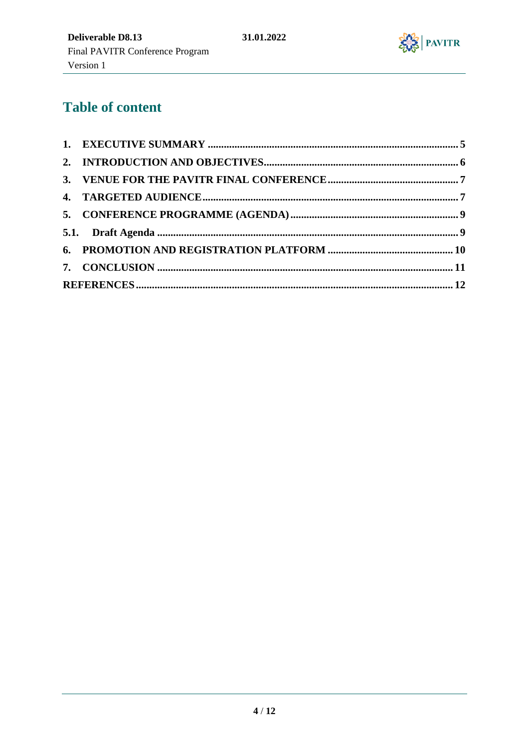

# **Table of content**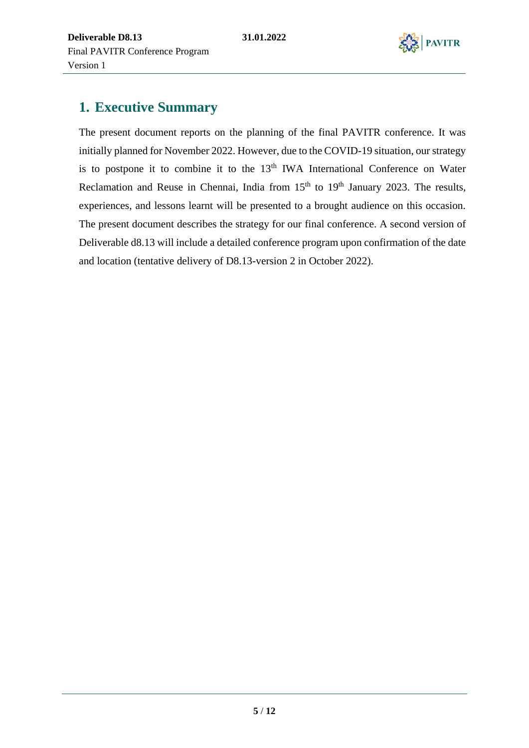

## <span id="page-4-0"></span>**1. Executive Summary**

The present document reports on the planning of the final PAVITR conference. It was initially planned for November 2022. However, due to the COVID-19 situation, our strategy is to postpone it to combine it to the  $13<sup>th</sup> IWA$  International Conference on Water Reclamation and Reuse in Chennai, India from 15<sup>th</sup> to 19<sup>th</sup> January 2023. The results, experiences, and lessons learnt will be presented to a brought audience on this occasion. The present document describes the strategy for our final conference. A second version of Deliverable d8.13 will include a detailed conference program upon confirmation of the date and location (tentative delivery of D8.13-version 2 in October 2022).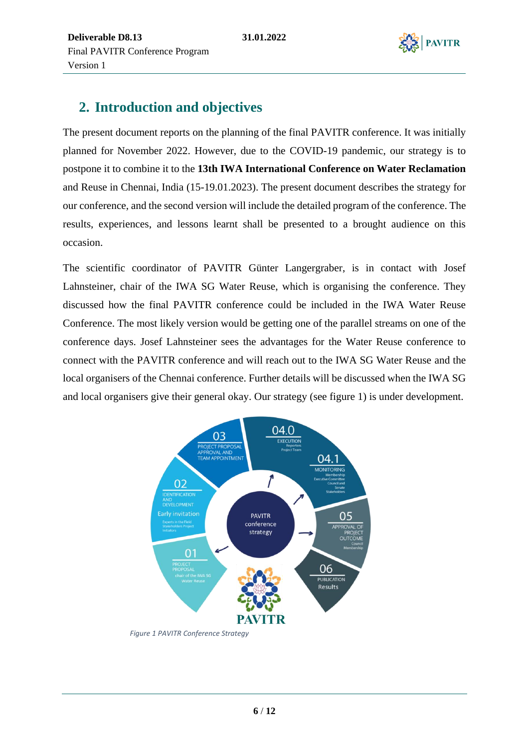

## <span id="page-5-0"></span>**2. Introduction and objectives**

The present document reports on the planning of the final PAVITR conference. It was initially planned for November 2022. However, due to the COVID-19 pandemic, our strategy is to postpone it to combine it to the **13th IWA International Conference on Water Reclamation** and Reuse in Chennai, India (15-19.01.2023). The present document describes the strategy for our conference, and the second version will include the detailed program of the conference. The results, experiences, and lessons learnt shall be presented to a brought audience on this occasion.

The scientific coordinator of PAVITR Günter Langergraber, is in contact with Josef Lahnsteiner, chair of the IWA SG Water Reuse, which is organising the conference. They discussed how the final PAVITR conference could be included in the IWA Water Reuse Conference. The most likely version would be getting one of the parallel streams on one of the conference days. Josef Lahnsteiner sees the advantages for the Water Reuse conference to connect with the PAVITR conference and will reach out to the IWA SG Water Reuse and the local organisers of the Chennai conference. Further details will be discussed when the IWA SG and local organisers give their general okay. Our strategy (see figure 1) is under development.



*Figure 1 PAVITR Conference Strategy*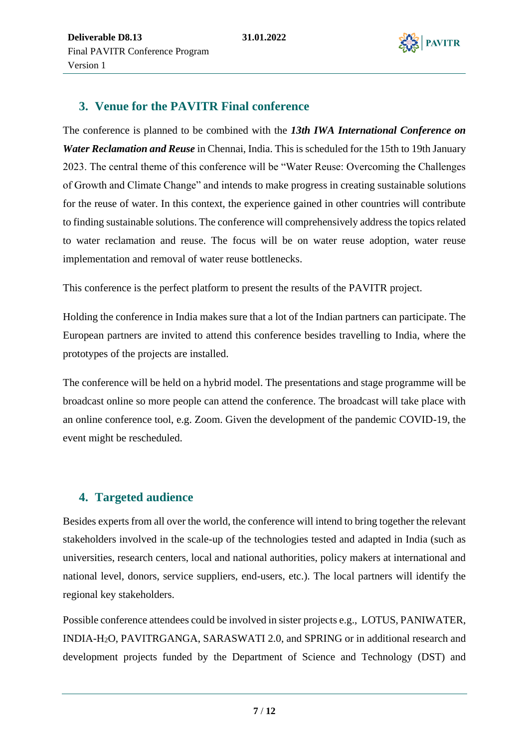

#### <span id="page-6-0"></span>**3. Venue for the PAVITR Final conference**

The conference is planned to be combined with the *13th IWA International Conference on Water Reclamation and Reuse* in Chennai, India. This is scheduled for the 15th to 19th January 2023. The central theme of this conference will be "Water Reuse: Overcoming the Challenges of Growth and Climate Change" and intends to make progress in creating sustainable solutions for the reuse of water. In this context, the experience gained in other countries will contribute to finding sustainable solutions. The conference will comprehensively address the topics related to water reclamation and reuse. The focus will be on water reuse adoption, water reuse implementation and removal of water reuse bottlenecks.

This conference is the perfect platform to present the results of the PAVITR project.

Holding the conference in India makes sure that a lot of the Indian partners can participate. The European partners are invited to attend this conference besides travelling to India, where the prototypes of the projects are installed.

The conference will be held on a hybrid model. The presentations and stage programme will be broadcast online so more people can attend the conference. The broadcast will take place with an online conference tool, e.g. Zoom. Given the development of the pandemic COVID-19, the event might be rescheduled.

### <span id="page-6-1"></span>**4. Targeted audience**

Besides experts from all over the world, the conference will intend to bring together the relevant stakeholders involved in the scale-up of the technologies tested and adapted in India (such as universities, research centers, local and national authorities, policy makers at international and national level, donors, service suppliers, end-users, etc.). The local partners will identify the regional key stakeholders.

Possible conference attendees could be involved in sister projects e.g., LOTUS, PANIWATER, INDIA-H2O, PAVITRGANGA, SARASWATI 2.0, and SPRING or in additional research and development projects funded by the Department of Science and Technology (DST) and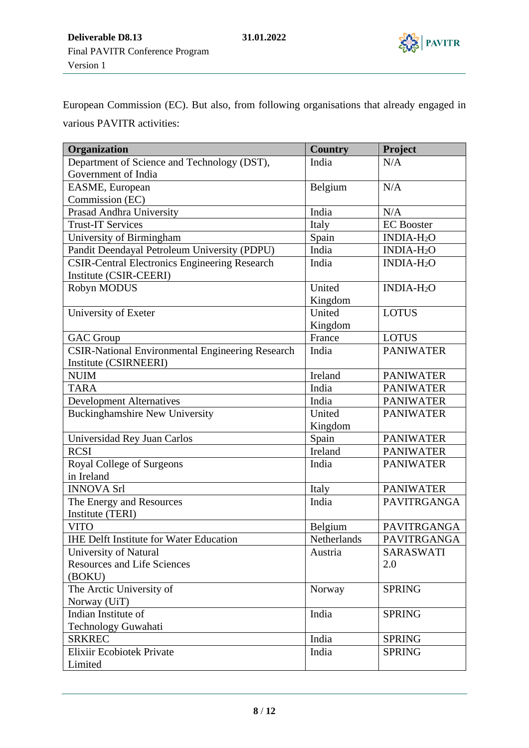

European Commission (EC). But also, from following organisations that already engaged in various PAVITR activities:

| Organization                                            | <b>Country</b> | Project                |
|---------------------------------------------------------|----------------|------------------------|
| Department of Science and Technology (DST),             | India          | N/A                    |
| Government of India                                     |                |                        |
| EASME, European                                         | Belgium        | N/A                    |
| Commission (EC)                                         |                |                        |
| Prasad Andhra University                                | India          | N/A                    |
| <b>Trust-IT Services</b>                                | Italy          | <b>EC</b> Booster      |
| University of Birmingham                                | Spain          | INDIA-H <sub>2</sub> O |
| Pandit Deendayal Petroleum University (PDPU)            | India          | INDIA-H <sub>2</sub> O |
| <b>CSIR-Central Electronics Engineering Research</b>    | India          | INDIA-H <sub>2</sub> O |
| Institute (CSIR-CEERI)                                  |                |                        |
| Robyn MODUS                                             | United         | INDIA-H <sub>2</sub> O |
|                                                         | Kingdom        |                        |
| University of Exeter                                    | United         | <b>LOTUS</b>           |
|                                                         | Kingdom        |                        |
| <b>GAC</b> Group                                        | France         | <b>LOTUS</b>           |
| <b>CSIR-National Environmental Engineering Research</b> | India          | <b>PANIWATER</b>       |
| Institute (CSIRNEERI)                                   |                |                        |
| <b>NUIM</b>                                             | Ireland        | <b>PANIWATER</b>       |
| <b>TARA</b>                                             | India          | <b>PANIWATER</b>       |
| <b>Development Alternatives</b>                         | India          | <b>PANIWATER</b>       |
| <b>Buckinghamshire New University</b>                   | United         | <b>PANIWATER</b>       |
|                                                         | Kingdom        |                        |
| Universidad Rey Juan Carlos                             | Spain          | <b>PANIWATER</b>       |
| <b>RCSI</b>                                             | Ireland        | <b>PANIWATER</b>       |
| Royal College of Surgeons                               | India          | <b>PANIWATER</b>       |
| in Ireland                                              |                |                        |
| <b>INNOVA Srl</b>                                       | Italy          | <b>PANIWATER</b>       |
| The Energy and Resources                                | India          | PAVITRGANGA            |
| Institute (TERI)                                        |                |                        |
| <b>VITO</b>                                             | Belgium        | PAVITRGANGA            |
| <b>IHE Delft Institute for Water Education</b>          | Netherlands    | PAVITRGANGA            |
| University of Natural                                   | Austria        | SARASWATI              |
| <b>Resources and Life Sciences</b>                      |                | 2.0                    |
| (BOKU)                                                  |                |                        |
| The Arctic University of                                | Norway         | <b>SPRING</b>          |
| Norway (UiT)                                            |                |                        |
| Indian Institute of                                     | India          | <b>SPRING</b>          |
| Technology Guwahati                                     |                |                        |
| <b>SRKREC</b>                                           | India          | <b>SPRING</b>          |
| <b>Elixiir Ecobiotek Private</b>                        | India          | <b>SPRING</b>          |
| Limited                                                 |                |                        |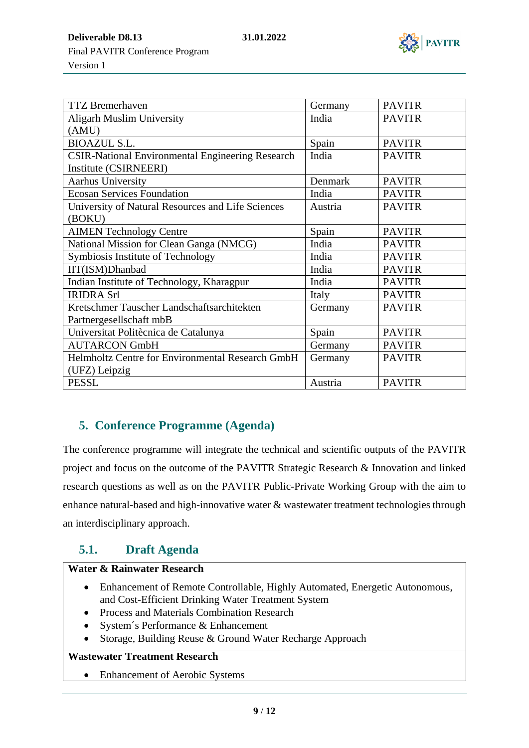

**Deliverable D8.13 31.01.2022** Final PAVITR Conference Program Version 1

| <b>TTZ</b> Bremerhaven                                  | Germany | <b>PAVITR</b> |
|---------------------------------------------------------|---------|---------------|
| <b>Aligarh Muslim University</b>                        | India   | <b>PAVITR</b> |
| (AMU)                                                   |         |               |
| <b>BIOAZUL S.L.</b>                                     | Spain   | <b>PAVITR</b> |
| <b>CSIR-National Environmental Engineering Research</b> | India   | <b>PAVITR</b> |
| Institute (CSIRNEERI)                                   |         |               |
| <b>Aarhus University</b>                                | Denmark | <b>PAVITR</b> |
| <b>Ecosan Services Foundation</b>                       | India   | <b>PAVITR</b> |
| University of Natural Resources and Life Sciences       | Austria | <b>PAVITR</b> |
| (BOKU)                                                  |         |               |
| <b>AIMEN Technology Centre</b>                          | Spain   | <b>PAVITR</b> |
| National Mission for Clean Ganga (NMCG)                 | India   | <b>PAVITR</b> |
| Symbiosis Institute of Technology                       | India   | <b>PAVITR</b> |
| IIT(ISM)Dhanbad                                         | India   | <b>PAVITR</b> |
| Indian Institute of Technology, Kharagpur               | India   | <b>PAVITR</b> |
| <b>IRIDRA Srl</b>                                       | Italy   | <b>PAVITR</b> |
| Kretschmer Tauscher Landschaftsarchitekten              | Germany | <b>PAVITR</b> |
| Partnergesellschaft mbB                                 |         |               |
| Universitat Politècnica de Catalunya                    | Spain   | <b>PAVITR</b> |
| <b>AUTARCON GmbH</b>                                    | Germany | <b>PAVITR</b> |
| Helmholtz Centre for Environmental Research GmbH        | Germany | <b>PAVITR</b> |
| (UFZ) Leipzig                                           |         |               |
| <b>PESSL</b>                                            | Austria | <b>PAVITR</b> |

#### <span id="page-8-0"></span>**5. Conference Programme (Agenda)**

The conference programme will integrate the technical and scientific outputs of the PAVITR project and focus on the outcome of the PAVITR Strategic Research & Innovation and linked research questions as well as on the PAVITR Public-Private Working Group with the aim to enhance natural-based and high-innovative water & wastewater treatment technologies through an interdisciplinary approach.

### <span id="page-8-1"></span>**5.1. Draft Agenda**

#### **Water & Rainwater Research**

- Enhancement of Remote Controllable, Highly Automated, Energetic Autonomous, and Cost-Efficient Drinking Water Treatment System
- Process and Materials Combination Research
- System's Performance & Enhancement
- Storage, Building Reuse & Ground Water Recharge Approach

#### **Wastewater Treatment Research**

• Enhancement of Aerobic Systems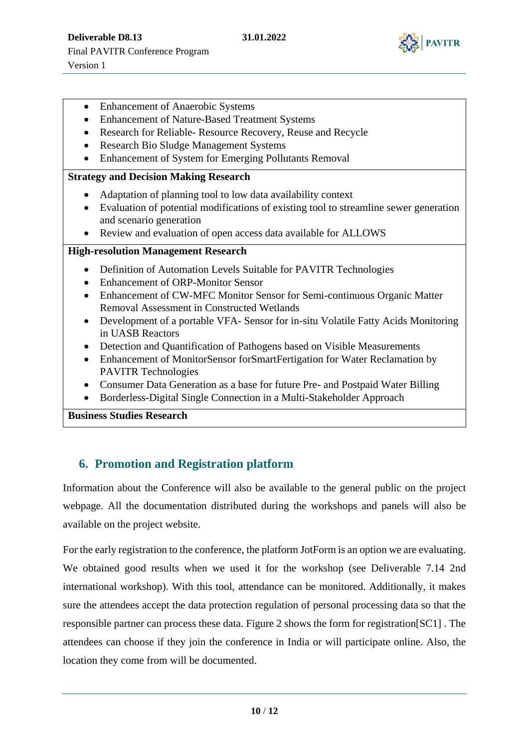

- Enhancement of Anaerobic Systems
- Enhancement of Nature-Based Treatment Systems
- Research for Reliable- Resource Recovery, Reuse and Recycle
- Research Bio Sludge Management Systems
- Enhancement of System for Emerging Pollutants Removal

#### **Strategy and Decision Making Research**

- Adaptation of planning tool to low data availability context
- Evaluation of potential modifications of existing tool to streamline sewer generation and scenario generation
- Review and evaluation of open access data available for ALLOWS

#### **High-resolution Management Research**

- Definition of Automation Levels Suitable for PAVITR Technologies
- Enhancement of ORP-Monitor Sensor
- Enhancement of CW-MFC Monitor Sensor for Semi-continuous Organic Matter Removal Assessment in Constructed Wetlands
- Development of a portable VFA- Sensor for in-situ Volatile Fatty Acids Monitoring in UASB Reactors
- Detection and Quantification of Pathogens based on Visible Measurements
- Enhancement of MonitorSensor forSmartFertigation for Water Reclamation by PAVITR Technologies
- Consumer Data Generation as a base for future Pre- and Postpaid Water Billing
- Borderless-Digital Single Connection in a Multi-Stakeholder Approach

**Business Studies Research**

#### <span id="page-9-0"></span>**6. Promotion and Registration platform**

Information about the Conference will also be available to the general public on the project webpage. All the documentation distributed during the workshops and panels will also be available on the project website.

For the early registration to the conference, the platform JotForm is an option we are evaluating. We obtained good results when we used it for the workshop (see Deliverable 7.14 2nd international workshop). With this tool, attendance can be monitored. Additionally, it makes sure the attendees accept the data protection regulation of personal processing data so that the responsible partner can process these data. Figure 2 shows the form for registration[SC1] . The attendees can choose if they join the conference in India or will participate online. Also, the location they come from will be documented.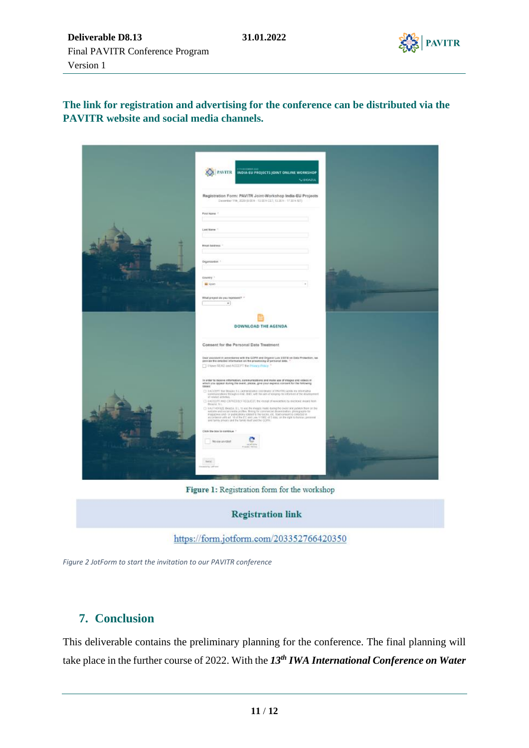



**The link for registration and advertising for the conference can be distributed via the PAVITR website and social media channels.**

| <b>The Address County</b><br>PAVITR INDIA-EU PROJECTS JOINT ONLINE WORKSHOP<br><b>NUBIOAZIA</b>                                                                                                                                                                                                                                   |  |
|-----------------------------------------------------------------------------------------------------------------------------------------------------------------------------------------------------------------------------------------------------------------------------------------------------------------------------------|--|
| Registration Form: PAVITR Joint-Workshop India-EU Projects<br>Departer 199, 2020 (6:00 h - 53:00 h CET, 13:30 h - 17:30 h (67)                                                                                                                                                                                                    |  |
| FirstName 1                                                                                                                                                                                                                                                                                                                       |  |
| Lost Name 1                                                                                                                                                                                                                                                                                                                       |  |
| Brigil Address -                                                                                                                                                                                                                                                                                                                  |  |
| Organization 1                                                                                                                                                                                                                                                                                                                    |  |
| country."<br><b>W</b> spon                                                                                                                                                                                                                                                                                                        |  |
| ** Cheeseway Like you compared form                                                                                                                                                                                                                                                                                               |  |
| $\check{\phantom{a}}$                                                                                                                                                                                                                                                                                                             |  |
| DOWNLOAD THE AGENDA                                                                                                                                                                                                                                                                                                               |  |
| Consent for the Personal Date Treatment                                                                                                                                                                                                                                                                                           |  |
| Dwar salestant in accordance with the GDPR and Organic Law 3/2018 on Data Protection, we<br>provide the aetable information on the processing of personal data. 1<br>TT I have READ and ACCEPT the Privacy Policy. <sup>46</sup>                                                                                                  |  |
| in order to receive information, communications and make use of images sho videos in<br>which you appear during the event, please, give your express consent for the following<br>coses:                                                                                                                                          |  |
| [7] LACCEPT THE BIGGEL S.L. (administrative coditional) of FRATITIC Lends are referribble<br>communications through e-mail. Std.II, with the aim of lessping me informed at the development.<br>of related activities.<br>[3 LACCERT AND EXPRESSIVE REQUEST the receipt of new settles by strictical in earth from<br>Board, S.L. |  |
|                                                                                                                                                                                                                                                                                                                                   |  |
| Click the box to continue ."                                                                                                                                                                                                                                                                                                      |  |
| Mo sier unvroted:                                                                                                                                                                                                                                                                                                                 |  |
| the call<br>diam und                                                                                                                                                                                                                                                                                                              |  |
|                                                                                                                                                                                                                                                                                                                                   |  |

Figure 1: Registration form for the workshop

**Registration link** https://form.jotform.com/203352766420350

*Figure 2 JotForm to start the invitation to our PAVITR conference*

#### <span id="page-10-0"></span>**7. Conclusion**

This deliverable contains the preliminary planning for the conference. The final planning will take place in the further course of 2022. With the *13th IWA International Conference on Water*